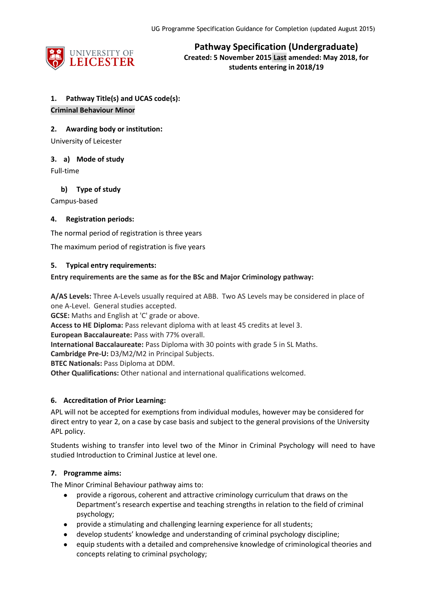

**Pathway Specification (Undergraduate) Created: 5 November 2015 Last amended: May 2018, for students entering in 2018/19**

## **1. Pathway Title(s) and UCAS code(s):**

## **Criminal Behaviour Minor**

**2. Awarding body or institution:**

University of Leicester

## **3. a) Mode of study**

Full-time

## **b) Type of study**

Campus-based

## **4. Registration periods:**

The normal period of registration is three years

The maximum period of registration is five years

## **5. Typical entry requirements:**

## **Entry requirements are the same as for the BSc and Major Criminology pathway:**

**A/AS Levels:** Three A-Levels usually required at ABB. Two AS Levels may be considered in place of one A-Level. General studies accepted.

**GCSE:** Maths and English at 'C' grade or above.

**Access to HE Diploma:** Pass relevant diploma with at least 45 credits at level 3.

**European Baccalaureate:** Pass with 77% overall.

**International Baccalaureate:** Pass Diploma with 30 points with grade 5 in SL Maths.

**Cambridge Pre-U:** D3/M2/M2 in Principal Subjects.

**BTEC Nationals:** Pass Diploma at DDM.

**Other Qualifications:** Other national and international qualifications welcomed.

## **6. Accreditation of Prior Learning:**

APL will not be accepted for exemptions from individual modules, however may be considered for direct entry to year 2, on a case by case basis and subject to the general provisions of the University APL policy.

Students wishing to transfer into level two of the Minor in Criminal Psychology will need to have studied Introduction to Criminal Justice at level one.

## **7. Programme aims:**

The Minor Criminal Behaviour pathway aims to:

- provide a rigorous, coherent and attractive criminology curriculum that draws on the Department's research expertise and teaching strengths in relation to the field of criminal psychology;
- provide a stimulating and challenging learning experience for all students;
- develop students' knowledge and understanding of criminal psychology discipline;
- equip students with a detailed and comprehensive knowledge of criminological theories and concepts relating to criminal psychology;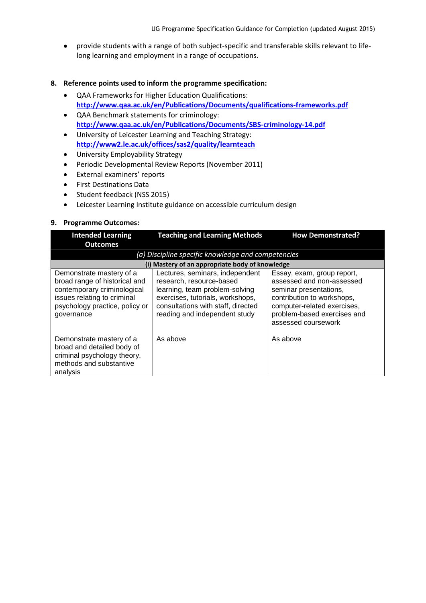provide students with a range of both subject-specific and transferable skills relevant to lifelong learning and employment in a range of occupations.

#### **8. Reference points used to inform the programme specification:**

- QAA Frameworks for Higher Education Qualifications: **<http://www.qaa.ac.uk/en/Publications/Documents/qualifications-frameworks.pdf>**
- QAA Benchmark statements for criminology: **<http://www.qaa.ac.uk/en/Publications/Documents/SBS-criminology-14.pdf>**
- University of Leicester Learning and Teaching Strategy: **<http://www2.le.ac.uk/offices/sas2/quality/learnteach>**
- University Employability Strategy
- Periodic Developmental Review Reports (November 2011)
- External examiners' reports
- **•** First Destinations Data
- Student feedback (NSS 2015)
- Leicester Learning Institute guidance on accessible curriculum design

#### **9. Programme Outcomes:**

| <b>Intended Learning</b>                                                                                                                                                | <b>Teaching and Learning Methods</b>                                                                                                                                                                     | <b>How Demonstrated?</b>                                                                                                                                                                             |
|-------------------------------------------------------------------------------------------------------------------------------------------------------------------------|----------------------------------------------------------------------------------------------------------------------------------------------------------------------------------------------------------|------------------------------------------------------------------------------------------------------------------------------------------------------------------------------------------------------|
| <b>Outcomes</b>                                                                                                                                                         |                                                                                                                                                                                                          |                                                                                                                                                                                                      |
|                                                                                                                                                                         | (a) Discipline specific knowledge and competencies                                                                                                                                                       |                                                                                                                                                                                                      |
|                                                                                                                                                                         | (i) Mastery of an appropriate body of knowledge                                                                                                                                                          |                                                                                                                                                                                                      |
| Demonstrate mastery of a<br>broad range of historical and<br>contemporary criminological<br>issues relating to criminal<br>psychology practice, policy or<br>governance | Lectures, seminars, independent<br>research, resource-based<br>learning, team problem-solving<br>exercises, tutorials, workshops,<br>consultations with staff, directed<br>reading and independent study | Essay, exam, group report,<br>assessed and non-assessed<br>seminar presentations,<br>contribution to workshops,<br>computer-related exercises,<br>problem-based exercises and<br>assessed coursework |
| Demonstrate mastery of a<br>broad and detailed body of<br>criminal psychology theory,<br>methods and substantive<br>analysis                                            | As above                                                                                                                                                                                                 | As above                                                                                                                                                                                             |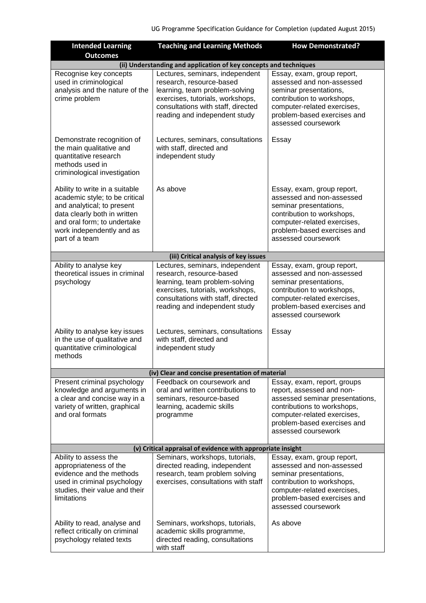| <b>Intended Learning</b>                                                                                                                                                                                     | <b>Teaching and Learning Methods</b>                                                                                                                                                                     | <b>How Demonstrated?</b>                                                                                                                                                                                        |
|--------------------------------------------------------------------------------------------------------------------------------------------------------------------------------------------------------------|----------------------------------------------------------------------------------------------------------------------------------------------------------------------------------------------------------|-----------------------------------------------------------------------------------------------------------------------------------------------------------------------------------------------------------------|
| <b>Outcomes</b>                                                                                                                                                                                              |                                                                                                                                                                                                          |                                                                                                                                                                                                                 |
|                                                                                                                                                                                                              | (ii) Understanding and application of key concepts and techniques                                                                                                                                        |                                                                                                                                                                                                                 |
| Recognise key concepts<br>used in criminological<br>analysis and the nature of the<br>crime problem                                                                                                          | Lectures, seminars, independent<br>research, resource-based<br>learning, team problem-solving<br>exercises, tutorials, workshops,<br>consultations with staff, directed<br>reading and independent study | Essay, exam, group report,<br>assessed and non-assessed<br>seminar presentations,<br>contribution to workshops,<br>computer-related exercises,<br>problem-based exercises and<br>assessed coursework            |
| Demonstrate recognition of<br>the main qualitative and<br>quantitative research<br>methods used in<br>criminological investigation                                                                           | Lectures, seminars, consultations<br>with staff, directed and<br>independent study                                                                                                                       | Essay                                                                                                                                                                                                           |
| Ability to write in a suitable<br>academic style; to be critical<br>and analytical; to present<br>data clearly both in written<br>and oral form; to undertake<br>work independently and as<br>part of a team | As above                                                                                                                                                                                                 | Essay, exam, group report,<br>assessed and non-assessed<br>seminar presentations,<br>contribution to workshops,<br>computer-related exercises,<br>problem-based exercises and<br>assessed coursework            |
|                                                                                                                                                                                                              | (iii) Critical analysis of key issues                                                                                                                                                                    |                                                                                                                                                                                                                 |
| Ability to analyse key<br>theoretical issues in criminal<br>psychology                                                                                                                                       | Lectures, seminars, independent<br>research, resource-based<br>learning, team problem-solving<br>exercises, tutorials, workshops,<br>consultations with staff, directed<br>reading and independent study | Essay, exam, group report,<br>assessed and non-assessed<br>seminar presentations,<br>contribution to workshops,<br>computer-related exercises,<br>problem-based exercises and<br>assessed coursework            |
| Ability to analyse key issues<br>in the use of qualitative and<br>quantitative criminological<br>methods                                                                                                     | Lectures, seminars, consultations<br>with staff, directed and<br>independent study                                                                                                                       | Essay                                                                                                                                                                                                           |
|                                                                                                                                                                                                              | (iv) Clear and concise presentation of material                                                                                                                                                          |                                                                                                                                                                                                                 |
| Present criminal psychology<br>knowledge and arguments in<br>a clear and concise way in a<br>variety of written, graphical<br>and oral formats                                                               | Feedback on coursework and<br>oral and written contributions to<br>seminars, resource-based<br>learning, academic skills<br>programme                                                                    | Essay, exam, report, groups<br>report, assessed and non-<br>assessed seminar presentations,<br>contributions to workshops,<br>computer-related exercises,<br>problem-based exercises and<br>assessed coursework |
|                                                                                                                                                                                                              | (v) Critical appraisal of evidence with appropriate insight                                                                                                                                              |                                                                                                                                                                                                                 |
| Ability to assess the<br>appropriateness of the<br>evidence and the methods<br>used in criminal psychology<br>studies, their value and their<br>limitations                                                  | Seminars, workshops, tutorials,<br>directed reading, independent<br>research, team problem solving<br>exercises, consultations with staff                                                                | Essay, exam, group report,<br>assessed and non-assessed<br>seminar presentations,<br>contribution to workshops,<br>computer-related exercises,<br>problem-based exercises and<br>assessed coursework            |
| Ability to read, analyse and<br>reflect critically on criminal<br>psychology related texts                                                                                                                   | Seminars, workshops, tutorials,<br>academic skills programme,<br>directed reading, consultations<br>with staff                                                                                           | As above                                                                                                                                                                                                        |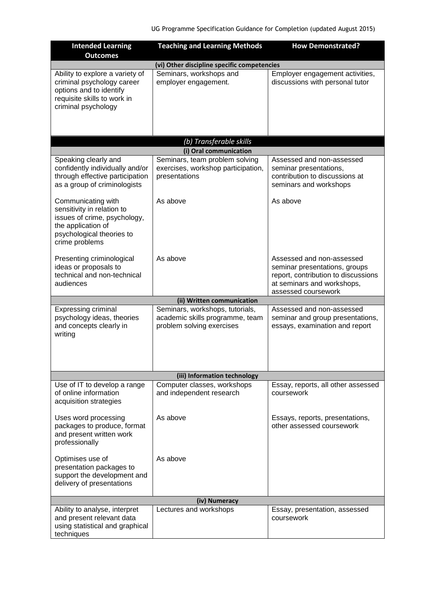| <b>Intended Learning</b><br><b>Outcomes</b>                                                                                                           | <b>Teaching and Learning Methods</b>                                                            | <b>How Demonstrated?</b>                                                                                                                               |  |  |  |
|-------------------------------------------------------------------------------------------------------------------------------------------------------|-------------------------------------------------------------------------------------------------|--------------------------------------------------------------------------------------------------------------------------------------------------------|--|--|--|
|                                                                                                                                                       | (vi) Other discipline specific competencies                                                     |                                                                                                                                                        |  |  |  |
| Ability to explore a variety of<br>criminal psychology career<br>options and to identify<br>requisite skills to work in<br>criminal psychology        | Seminars, workshops and<br>employer engagement.                                                 | Employer engagement activities,<br>discussions with personal tutor                                                                                     |  |  |  |
|                                                                                                                                                       | (b) Transferable skills                                                                         |                                                                                                                                                        |  |  |  |
|                                                                                                                                                       | (i) Oral communication                                                                          |                                                                                                                                                        |  |  |  |
| Speaking clearly and<br>confidently individually and/or<br>through effective participation<br>as a group of criminologists                            | Seminars, team problem solving<br>exercises, workshop participation,<br>presentations           | Assessed and non-assessed<br>seminar presentations,<br>contribution to discussions at<br>seminars and workshops                                        |  |  |  |
| Communicating with<br>sensitivity in relation to<br>issues of crime, psychology,<br>the application of<br>psychological theories to<br>crime problems | As above                                                                                        | As above                                                                                                                                               |  |  |  |
| Presenting criminological<br>ideas or proposals to<br>technical and non-technical<br>audiences                                                        | As above                                                                                        | Assessed and non-assessed<br>seminar presentations, groups<br>report, contribution to discussions<br>at seminars and workshops,<br>assessed coursework |  |  |  |
|                                                                                                                                                       | (ii) Written communication                                                                      |                                                                                                                                                        |  |  |  |
| <b>Expressing criminal</b><br>psychology ideas, theories<br>and concepts clearly in<br>writing                                                        | Seminars, workshops, tutorials,<br>academic skills programme, team<br>problem solving exercises | Assessed and non-assessed<br>seminar and group presentations,<br>essays, examination and report                                                        |  |  |  |
|                                                                                                                                                       | (iii) Information technology                                                                    |                                                                                                                                                        |  |  |  |
| Use of IT to develop a range<br>of online information<br>acquisition strategies                                                                       | Computer classes, workshops<br>and independent research                                         | Essay, reports, all other assessed<br>coursework                                                                                                       |  |  |  |
| Uses word processing<br>packages to produce, format<br>and present written work<br>professionally                                                     | As above                                                                                        | Essays, reports, presentations,<br>other assessed coursework                                                                                           |  |  |  |
| Optimises use of<br>presentation packages to<br>support the development and<br>delivery of presentations                                              | As above                                                                                        |                                                                                                                                                        |  |  |  |
|                                                                                                                                                       | (iv) Numeracy                                                                                   |                                                                                                                                                        |  |  |  |
| Ability to analyse, interpret<br>and present relevant data<br>using statistical and graphical<br>techniques                                           | Lectures and workshops                                                                          | Essay, presentation, assessed<br>coursework                                                                                                            |  |  |  |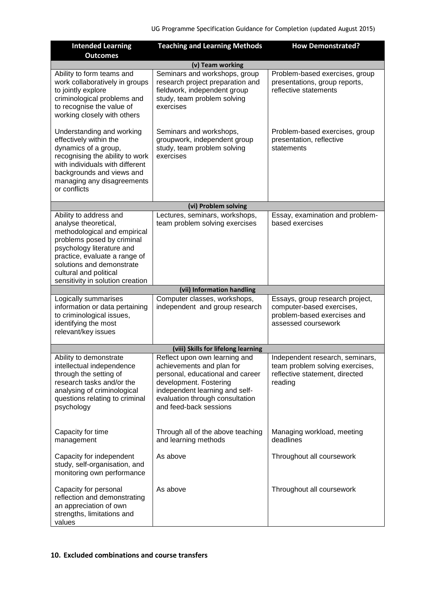| <b>Intended Learning</b><br><b>Outcomes</b>                                                                                                                                                                                                                           | <b>Teaching and Learning Methods</b>                                                                                                                                                                                    | <b>How Demonstrated?</b>                                                                                           |
|-----------------------------------------------------------------------------------------------------------------------------------------------------------------------------------------------------------------------------------------------------------------------|-------------------------------------------------------------------------------------------------------------------------------------------------------------------------------------------------------------------------|--------------------------------------------------------------------------------------------------------------------|
|                                                                                                                                                                                                                                                                       | (v) Team working                                                                                                                                                                                                        |                                                                                                                    |
| Ability to form teams and<br>work collaboratively in groups<br>to jointly explore<br>criminological problems and<br>to recognise the value of<br>working closely with others                                                                                          | Seminars and workshops, group<br>research project preparation and<br>fieldwork, independent group<br>study, team problem solving<br>exercises                                                                           | Problem-based exercises, group<br>presentations, group reports,<br>reflective statements                           |
| Understanding and working<br>effectively within the<br>dynamics of a group,<br>recognising the ability to work<br>with individuals with different<br>backgrounds and views and<br>managing any disagreements<br>or conflicts                                          | Seminars and workshops,<br>groupwork, independent group<br>study, team problem solving<br>exercises                                                                                                                     | Problem-based exercises, group<br>presentation, reflective<br>statements                                           |
|                                                                                                                                                                                                                                                                       | (vi) Problem solving                                                                                                                                                                                                    |                                                                                                                    |
| Ability to address and<br>analyse theoretical,<br>methodological and empirical<br>problems posed by criminal<br>psychology literature and<br>practice, evaluate a range of<br>solutions and demonstrate<br>cultural and political<br>sensitivity in solution creation | Lectures, seminars, workshops,<br>team problem solving exercises                                                                                                                                                        | Essay, examination and problem-<br>based exercises                                                                 |
|                                                                                                                                                                                                                                                                       | (vii) Information handling                                                                                                                                                                                              |                                                                                                                    |
| Logically summarises<br>information or data pertaining<br>to criminological issues,<br>identifying the most<br>relevant/key issues                                                                                                                                    | Computer classes, workshops,<br>independent and group research                                                                                                                                                          | Essays, group research project,<br>computer-based exercises,<br>problem-based exercises and<br>assessed coursework |
|                                                                                                                                                                                                                                                                       | (viii) Skills for lifelong learning                                                                                                                                                                                     |                                                                                                                    |
| Ability to demonstrate<br>intellectual independence<br>through the setting of<br>research tasks and/or the<br>analysing of criminological<br>questions relating to criminal<br>psychology                                                                             | Reflect upon own learning and<br>achievements and plan for<br>personal, educational and career<br>development. Fostering<br>independent learning and self-<br>evaluation through consultation<br>and feed-back sessions | Independent research, seminars,<br>team problem solving exercises,<br>reflective statement, directed<br>reading    |
| Capacity for time<br>management                                                                                                                                                                                                                                       | Through all of the above teaching<br>and learning methods                                                                                                                                                               | Managing workload, meeting<br>deadlines                                                                            |
| Capacity for independent<br>study, self-organisation, and<br>monitoring own performance                                                                                                                                                                               | As above                                                                                                                                                                                                                | Throughout all coursework                                                                                          |
| Capacity for personal<br>reflection and demonstrating<br>an appreciation of own<br>strengths, limitations and<br>values                                                                                                                                               | As above                                                                                                                                                                                                                | Throughout all coursework                                                                                          |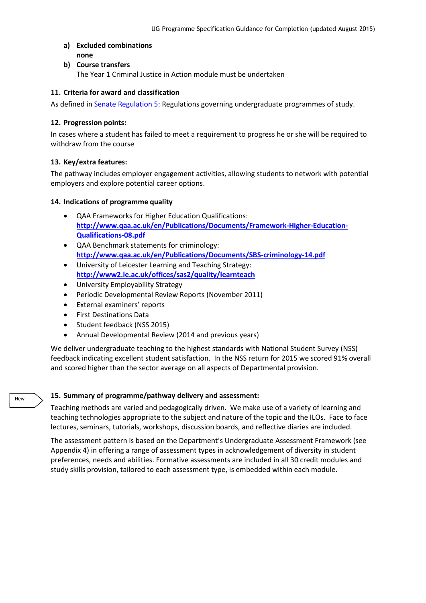- **a) Excluded combinations none**
- **b) Course transfers**

The Year 1 Criminal Justice in Action module must be undertaken

#### **11. Criteria for award and classification**

As defined i[n Senate Regulation 5:](http://www.le.ac.uk/senate-regulation5) Regulations governing undergraduate programmes of study.

#### **12. Progression points:**

In cases where a student has failed to meet a requirement to progress he or she will be required to withdraw from the course

## **13. Key/extra features:**

The pathway includes employer engagement activities, allowing students to network with potential employers and explore potential career options.

## **14. Indications of programme quality**

- QAA Frameworks for Higher Education Qualifications: **[http://www.qaa.ac.uk/en/Publications/Documents/Framework-Higher-Education-](http://www.qaa.ac.uk/en/Publications/Documents/Framework-Higher-Education-Qualifications-08.pdf)[Qualifications-08.pdf](http://www.qaa.ac.uk/en/Publications/Documents/Framework-Higher-Education-Qualifications-08.pdf)**
- QAA Benchmark statements for criminology: **<http://www.qaa.ac.uk/en/Publications/Documents/SBS-criminology-14.pdf>**
- University of Leicester Learning and Teaching Strategy: **<http://www2.le.ac.uk/offices/sas2/quality/learnteach>**
- University Employability Strategy
- Periodic Developmental Review Reports (November 2011)
- External examiners' reports
- First Destinations Data

New

- Student feedback (NSS 2015)
- Annual Developmental Review (2014 and previous years)

We deliver undergraduate teaching to the highest standards with National Student Survey (NSS) feedback indicating excellent student satisfaction. In the NSS return for 2015 we scored 91% overall and scored higher than the sector average on all aspects of Departmental provision.

## **15. Summary of programme/pathway delivery and assessment:**

Teaching methods are varied and pedagogically driven. We make use of a variety of learning and teaching technologies appropriate to the subject and nature of the topic and the ILOs. Face to face lectures, seminars, tutorials, workshops, discussion boards, and reflective diaries are included.

The assessment pattern is based on the Department's Undergraduate Assessment Framework (see Appendix 4) in offering a range of assessment types in acknowledgement of diversity in student preferences, needs and abilities. Formative assessments are included in all 30 credit modules and study skills provision, tailored to each assessment type, is embedded within each module.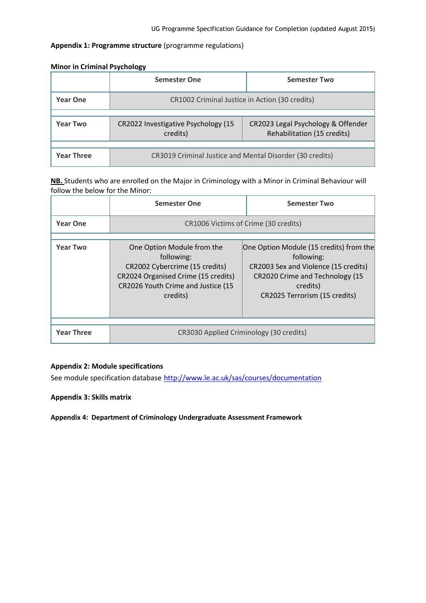## **Appendix 1: Programme structure** (programme regulations)

|                   | <b>Semester One</b>                                      | <b>Semester Two</b>                                               |
|-------------------|----------------------------------------------------------|-------------------------------------------------------------------|
| <b>Year One</b>   | CR1002 Criminal Justice in Action (30 credits)           |                                                                   |
|                   |                                                          |                                                                   |
| <b>Year Two</b>   | CR2022 Investigative Psychology (15<br>credits)          | CR2023 Legal Psychology & Offender<br>Rehabilitation (15 credits) |
|                   |                                                          |                                                                   |
| <b>Year Three</b> | CR3019 Criminal Justice and Mental Disorder (30 credits) |                                                                   |

#### **Minor in Criminal Psychology**

**NB.** Students who are enrolled on the Major in Criminology with a Minor in Criminal Behaviour will follow the below for the Minor:

|                   | <b>Semester One</b>                                                                                                                                                 | <b>Semester Two</b>                                                                                                                                                           |  |  |  |
|-------------------|---------------------------------------------------------------------------------------------------------------------------------------------------------------------|-------------------------------------------------------------------------------------------------------------------------------------------------------------------------------|--|--|--|
| <b>Year One</b>   | CR1006 Victims of Crime (30 credits)                                                                                                                                |                                                                                                                                                                               |  |  |  |
| <b>Year Two</b>   | One Option Module from the<br>following:<br>CR2002 Cybercrime (15 credits)<br>CR2024 Organised Crime (15 credits)<br>CR2026 Youth Crime and Justice (15<br>credits) | One Option Module (15 credits) from the<br>following:<br>CR2003 Sex and Violence (15 credits)<br>CR2020 Crime and Technology (15<br>credits)<br>CR2025 Terrorism (15 credits) |  |  |  |
| <b>Year Three</b> | CR3030 Applied Criminology (30 credits)                                                                                                                             |                                                                                                                                                                               |  |  |  |

## **Appendix 2: Module specifications**

See module specification database <http://www.le.ac.uk/sas/courses/documentation>

**Appendix 3: Skills matrix**

**Appendix 4: Department of Criminology Undergraduate Assessment Framework**